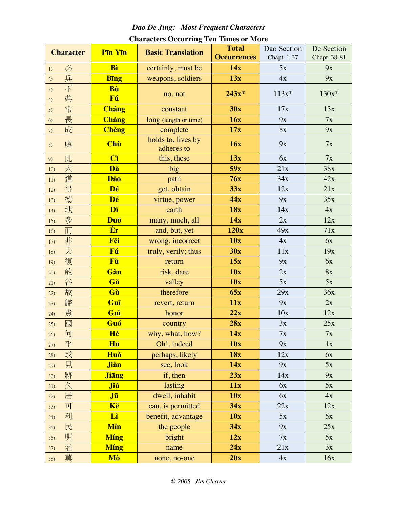## Dao De Jing: Most Frequent Characters

| <b>Character</b>   | Pin Yin      | <b>Basic Translation</b>         | <b>Total</b>       | Dao Section | De Section   |
|--------------------|--------------|----------------------------------|--------------------|-------------|--------------|
|                    |              |                                  | <b>Occurrences</b> | Chapt. 1-37 | Chapt. 38-81 |
| 必<br>1)            | Bì           | certainly, must be               | 14x                | 5x          | 9x           |
| 兵<br>2)            | <b>Bing</b>  | weapons, soldiers                | 13x                | 4x          | 9x           |
| 不<br>3)<br>弗<br>4) | Bù<br>Fú     | no, not                          | $243x*$            | $113x*$     | $130x*$      |
| 常<br>5)            | Cháng        | constant                         | 30x                | 17x         | 13x          |
| 長<br>6)            | <b>Cháng</b> | long (length or time)            | 16x                | 9x          | 7x           |
| 成<br>7)            | <b>Chèng</b> | complete                         | 17x                | 8x          | 9x           |
| 處<br>8)            | <b>Chù</b>   | holds to, lives by<br>adheres to | 16x                | 9x          | 7x           |
| 此<br>9)            | Cĭ           | this, these                      | 13x                | 6x          | 7x           |
| 大<br>10)           | Dà           | big                              | 59x                | 21x         | 38x          |
| 道<br>11)           | <b>Dào</b>   | path                             | 76x                | 34x         | 42x          |
| 得<br>12)           | Dé           | get, obtain                      | 33x                | 12x         | 21x          |
| 德<br>13)           | Dé           | virtue, power                    | 44x                | 9x          | 35x          |
| 地<br>14)           | Dì           | earth                            | 18x                | 14x         | 4x           |
| 多<br>15)           | Duō          | many, much, all                  | 14x                | 2x          | 12x          |
| 而<br>16)           | Ér           | and, but, yet                    | 120x               | 49x         | 71x          |
| 非<br>17)           | Fēi          | wrong, incorrect                 | 10x                | 4x          | 6x           |
| 夫<br>18)           | Fú           | truly, verily; thus              | 30x                | 11x         | 19x          |
| 復<br>19)           | Fù           | return                           | 15x                | 9x          | 6x           |
| 敢<br>20)           | Gǎn          | risk, dare                       | 10x                | 2x          | <b>8x</b>    |
| 谷<br>21)           | Gǔ           | valley                           | 10x                | 5x          | 5x           |
| 故<br>22)           | Gù           | therefore                        | 65x                | 29x         | 36x          |
| 歸<br>23)           | Guī          | revert, return                   | 11x                | 9x          | 2x           |
| 貴<br>24)           | Guì          | honor                            | 22x                | 10x         | 12x          |
| 國<br>25)           | Guó          | country                          | 28x                | 3x          | 25x          |
| 何<br>26)           | Hé           | why, what, how?                  | 14x                | 7x          | 7x           |
| 乎<br>27)           | Hū           | Oh!, indeed                      | 10x                | 9x          | 1x           |
| 或<br>28)           | Huò          | perhaps, likely                  | <b>18x</b>         | 12x         | 6x           |
| 見<br>29)           | <b>Jiàn</b>  | see, look                        | 14x                | 9x          | 5x           |
| 將<br>30)           | <b>Jiang</b> | if, then                         | 23x                | 14x         | 9x           |
| 久<br>31)           | Jiŭ          | lasting                          | 11x                | 6x          | 5x           |
| 居<br>32)           | Jū           | dwell, inhabit                   | 10x                | 6x          | 4x           |
| 可<br>33)           | Kě           | can, is permitted                | 34x                | 22x         | 12x          |
| 利<br>34)           | Lì           | benefit, advantage               | 10x                | 5x          | 5x           |
| 民<br>35)           | Mín          | the people                       | 34x                | 9x          | 25x          |
| 明<br>36)           | <b>Míng</b>  | bright                           | 12x                | 7x          | 5x           |
| 名<br>37)           | <b>Míng</b>  | name                             | 24x                | 21x         | 3x           |
| 莫<br>38)           | Mò           | none, no-one                     | 20x                | 4x          | 16x          |

## **Characters Occurring Ten Times or More**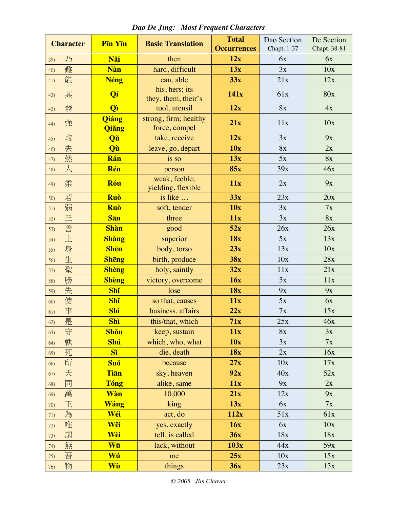| <b>Character</b> | Pin Yin               | <b>Basic Translation</b>               | <b>Total</b>       | Dao Section | De Section   |
|------------------|-----------------------|----------------------------------------|--------------------|-------------|--------------|
|                  |                       |                                        | <b>Occurrences</b> | Chapt. 1-37 | Chapt. 38-81 |
| 乃<br>39)         | Năi                   | then                                   | 12x                | 6x          | 6x           |
| 難<br>40)         | <b>Nàn</b>            | hard, difficult                        | 13x                | 3x          | 10x          |
| 能<br>41)         | <b>Néng</b>           | can, able                              | 33x                | 21x         | 12x          |
| 其<br>42)         | Qí                    | his, hers; its<br>they, them, their's  | 141x               | 61x         | 80x          |
| 器<br>43)         | <b>Qì</b>             | tool, utensil                          | 12x                | 8x          | 4x           |
| 強<br>44)         | <b>Qiáng</b><br>Qiǎng | strong, firm; healthy<br>force, compel | 21x                | 11x         | 10x          |
| 取<br>45)         | Qŭ                    | take, receive                          | 12x                | 3x          | 9x           |
| 去<br>46)         | Qù                    | leave, go, depart                      | 10x                | 8x          | 2x           |
| 然<br>47)         | Rán                   | is so                                  | 13x                | 5x          | 8x           |
| $\lambda$<br>48) | Rén                   | person                                 | <b>85x</b>         | 39x         | 46x          |
| 柔<br>49)         | Róu                   | weak, feeble;<br>yielding, flexible    | 11x                | 2x          | 9x           |
| 若<br>50)         | Ruò                   | is like                                | 33x                | 23x         | 20x          |
| 弱<br>51)         | Ruò                   | soft, tender                           | 10x                | 3x          | 7x           |
| $\equiv$<br>52)  | <b>Sān</b>            | three                                  | 11x                | 3x          | <b>8x</b>    |
| 善<br>53)         | <b>Shàn</b>           | good                                   | 52x                | 26x         | 26x          |
| 上<br>54)         | <b>Shàng</b>          | superior                               | 18x                | 5x          | 13x          |
| 身<br>55)         | <b>Shēn</b>           | body, torso                            | 23x                | 13x         | 10x          |
| 生<br>56)         | <b>Shēng</b>          | birth, produce                         | 38x                | 10x         | 28x          |
| 聖<br>57)         | <b>Shèng</b>          | holy, saintly                          | 32x                | 11x         | 21x          |
| 勝<br>58)         | <b>Shèng</b>          | victory, overcome                      | 16x                | 5x          | 11x          |
| 失<br>59)         | Shǐ                   | lose                                   | <b>18x</b>         | 9x          | 9x           |
| 使<br>60)         | Shǐ                   | so that, causes                        | 11x                | 5x          | 6x           |
| 事<br>61)         | <b>Shì</b>            | business, affairs                      | 22x                | 7x          | 15x          |
| 是<br>62)         | Shì                   | this/that, which                       | 71x                | 25x         | 46x          |
| 守<br>63)         | Shŏu                  | keep, sustain                          | 11x                | 8x          | 3x           |
| 孰<br>64)         | <b>Shú</b>            | which, who, what                       | 10x                | 3x          | 7x           |
| 死<br>65)         | <b>S</b> ĭ            | die, death                             | 18x                | 2x          | 16x          |
| 所<br>66)         | Suč                   | because                                | 27x                | 10x         | 17x          |
| 天<br>67)         | <b>Tian</b>           | sky, heaven                            | 92x                | 40x         | 52x          |
| 同<br>68)         | <b>Tóng</b>           | alike, same                            | 11x                | 9x          | 2x           |
| 萬<br>69)         | Wàn                   | 10,000                                 | 21x                | 12x         | 9x           |
| 王<br>70)         | Wáng                  | king                                   | 13x                | 6x          | 7x           |
| 為<br>71)         | Wéi                   | act, do                                | 112x               | 51x         | 61x          |
| 唯<br>72)         | Wěi                   | yes, exactly                           | 16x                | 6x          | 10x          |
| 謂<br>73)         | Wèi                   | tell, is called                        | 36x                | 18x         | 18x          |
| 無<br>74)         | Wū                    | lack, without                          | 103x               | 44x         | 59x          |
| 吾<br>75)         | Wú                    | me                                     | 25x                | 10x         | 15x          |
| 物<br>76)         | Wù                    | things                                 | 36x                | 23x         | 13x          |

Dao De Jing: Most Frequent Characters